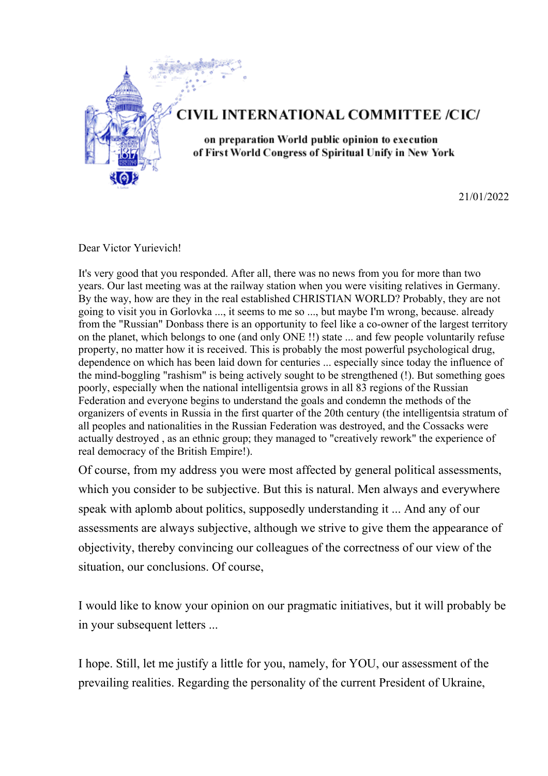

21/01/2022

Dear Victor Yurievich!

It's very good that you responded. After all, there was no news from you for more than two years. Our last meeting was at the railway station when you were visiting relatives in Germany. By the way, how are they in the real established CHRISTIAN WORLD? Probably, they are not going to visit you in Gorlovka ..., it seems to me so ..., but maybe I'm wrong, because. already from the "Russian" Donbass there is an opportunity to feel like a co-owner of the largest territory on the planet, which belongs to one (and only ONE !!) state ... and few people voluntarily refuse property, no matter how it is received. This is probably the most powerful psychological drug, dependence on which has been laid down for centuries ... especially since today the influence of the mind-boggling "rashism" is being actively sought to be strengthened (!). But something goes poorly, especially when the national intelligentsia grows in all 83 regions of the Russian Federation and everyone begins to understand the goals and condemn the methods of the organizers of events in Russia in the first quarter of the 20th century (the intelligentsia stratum of all peoples and nationalities in the Russian Federation was destroyed, and the Cossacks were actually destroyed , as an ethnic group; they managed to "creatively rework" the experience of real democracy of the British Empire!).

Of course, from my address you were most affected by general political assessments, which you consider to be subjective. But this is natural. Men always and everywhere speak with aplomb about politics, supposedly understanding it ... And any of our assessments are always subjective, although we strive to give them the appearance of objectivity, thereby convincing our colleagues of the correctness of our view of the situation, our conclusions. Of course,

I would like to know your opinion on our pragmatic initiatives, but it will probably be in your subsequent letters ...

I hope. Still, let me justify a little for you, namely, for YOU, our assessment of the prevailing realities. Regarding the personality of the current President of Ukraine,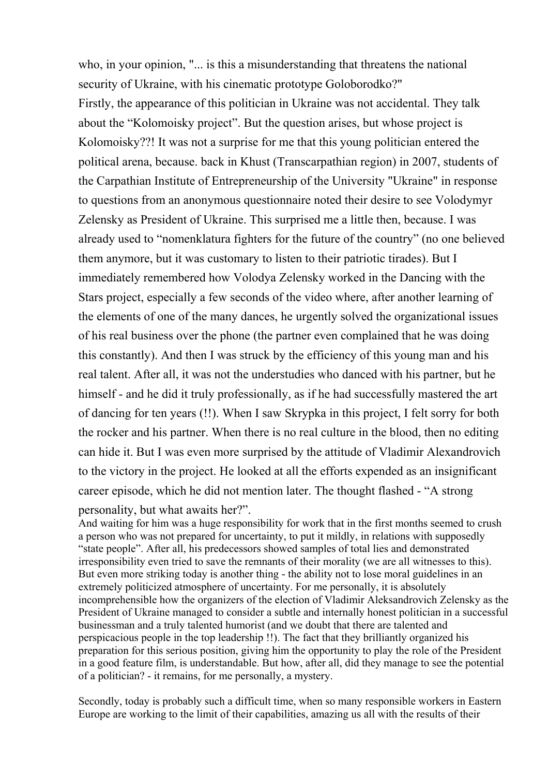who, in your opinion, "... is this a misunderstanding that threatens the national security of Ukraine, with his cinematic prototype Goloborodko?" Firstly, the appearance of this politician in Ukraine was not accidental. They talk about the "Kolomoisky project". But the question arises, but whose project is Kolomoisky??! It was not a surprise for me that this young politician entered the political arena, because. back in Khust (Transcarpathian region) in 2007, students of the Carpathian Institute of Entrepreneurship of the University "Ukraine" in response to questions from an anonymous questionnaire noted their desire to see Volodymyr Zelensky as President of Ukraine. This surprised me a little then, because. I was already used to "nomenklatura fighters for the future of the country" (no one believed them anymore, but it was customary to listen to their patriotic tirades). But I immediately remembered how Volodya Zelensky worked in the Dancing with the Stars project, especially a few seconds of the video where, after another learning of the elements of one of the many dances, he urgently solved the organizational issues of his real business over the phone (the partner even complained that he was doing this constantly). And then I was struck by the efficiency of this young man and his real talent. After all, it was not the understudies who danced with his partner, but he himself - and he did it truly professionally, as if he had successfully mastered the art of dancing for ten years (!!). When I saw Skrypka in this project, I felt sorry for both the rocker and his partner. When there is no real culture in the blood, then no editing can hide it. But I was even more surprised by the attitude of Vladimir Alexandrovich to the victory in the project. He looked at all the efforts expended as an insignificant career episode, which he did not mention later. The thought flashed - "A strong personality, but what awaits her?".

And waiting for him was a huge responsibility for work that in the first months seemed to crush a person who was not prepared for uncertainty, to put it mildly, in relations with supposedly "state people". After all, his predecessors showed samples of total lies and demonstrated irresponsibility even tried to save the remnants of their morality (we are all witnesses to this). But even more striking today is another thing - the ability not to lose moral guidelines in an extremely politicized atmosphere of uncertainty. For me personally, it is absolutely incomprehensible how the organizers of the election of Vladimir Aleksandrovich Zelensky as the President of Ukraine managed to consider a subtle and internally honest politician in a successful businessman and a truly talented humorist (and we doubt that there are talented and perspicacious people in the top leadership !!). The fact that they brilliantly organized his preparation for this serious position, giving him the opportunity to play the role of the President in a good feature film, is understandable. But how, after all, did they manage to see the potential of a politician? - it remains, for me personally, a mystery.

Secondly, today is probably such a difficult time, when so many responsible workers in Eastern Europe are working to the limit of their capabilities, amazing us all with the results of their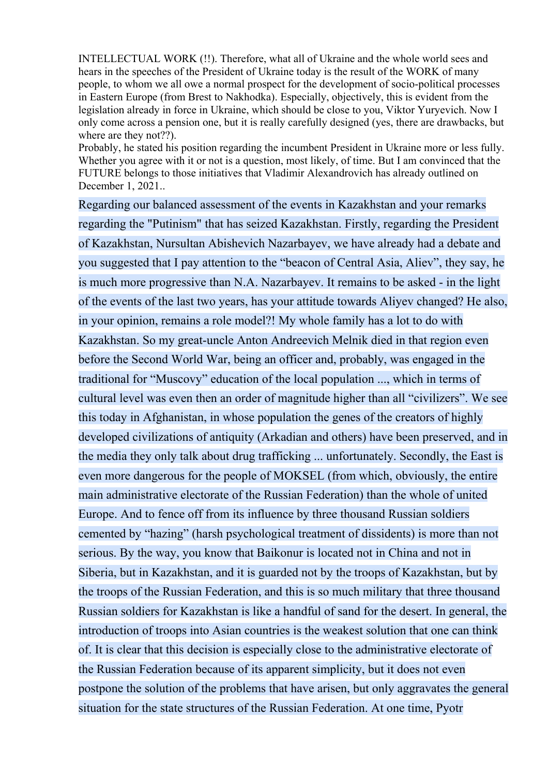INTELLECTUAL WORK (!!). Therefore, what all of Ukraine and the whole world sees and hears in the speeches of the President of Ukraine today is the result of the WORK of many people, to whom we all owe a normal prospect for the development of socio-political processes in Eastern Europe (from Brest to Nakhodka). Especially, objectively, this is evident from the legislation already in force in Ukraine, which should be close to you, Viktor Yuryevich. Now I only come across a pension one, but it is really carefully designed (yes, there are drawbacks, but where are they not??).

Probably, he stated his position regarding the incumbent President in Ukraine more or less fully. Whether you agree with it or not is a question, most likely, of time. But I am convinced that the FUTURE belongs to those initiatives that Vladimir Alexandrovich has already outlined on December 1, 2021..

Regarding our balanced assessment of the events in Kazakhstan and your remarks regarding the "Putinism" that has seized Kazakhstan. Firstly, regarding the President of Kazakhstan, Nursultan Abishevich Nazarbayev, we have already had a debate and you suggested that I pay attention to the "beacon of Central Asia, Aliev", they say, he is much more progressive than N.A. Nazarbayev. It remains to be asked - in the light of the events of the last two years, has your attitude towards Aliyev changed? He also, in your opinion, remains a role model?! My whole family has a lot to do with Kazakhstan. So my great-uncle Anton Andreevich Melnik died in that region even before the Second World War, being an officer and, probably, was engaged in the traditional for "Muscovy" education of the local population ..., which in terms of cultural level was even then an order of magnitude higher than all "civilizers". We see this today in Afghanistan, in whose population the genes of the creators of highly developed civilizations of antiquity (Arkadian and others) have been preserved, and in the media they only talk about drug trafficking ... unfortunately. Secondly, the East is even more dangerous for the people of MOKSEL (from which, obviously, the entire main administrative electorate of the Russian Federation) than the whole of united Europe. And to fence off from its influence by three thousand Russian soldiers cemented by "hazing" (harsh psychological treatment of dissidents) is more than not serious. By the way, you know that Baikonur is located not in China and not in Siberia, but in Kazakhstan, and it is guarded not by the troops of Kazakhstan, but by the troops of the Russian Federation, and this is so much military that three thousand Russian soldiers for Kazakhstan is like a handful of sand for the desert. In general, the introduction of troops into Asian countries is the weakest solution that one can think of. It is clear that this decision is especially close to the administrative electorate of the Russian Federation because of its apparent simplicity, but it does not even postpone the solution of the problems that have arisen, but only aggravates the general situation for the state structures of the Russian Federation. At one time, Pyotr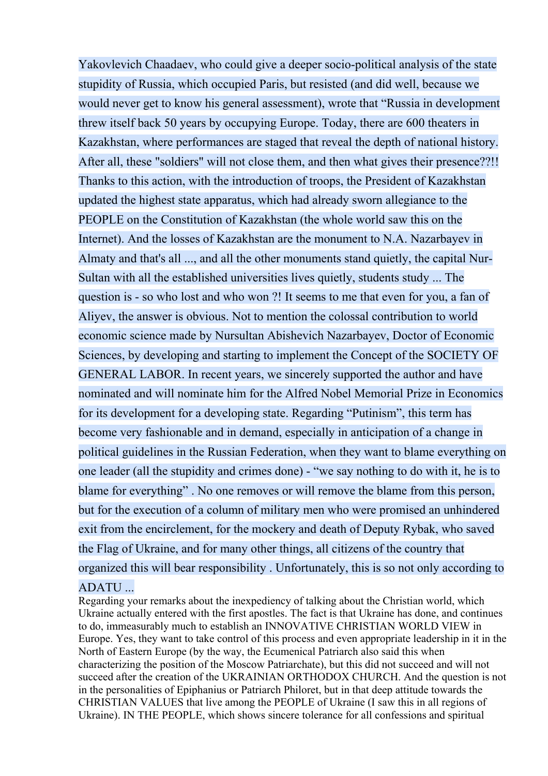Yakovlevich Chaadaev, who could give a deeper socio-political analysis of the state stupidity of Russia, which occupied Paris, but resisted (and did well, because we would never get to know his general assessment), wrote that "Russia in development threw itself back 50 years by occupying Europe. Today, there are 600 theaters in Kazakhstan, where performances are staged that reveal the depth of national history. After all, these "soldiers" will not close them, and then what gives their presence??!! Thanks to this action, with the introduction of troops, the President of Kazakhstan updated the highest state apparatus, which had already sworn allegiance to the PEOPLE on the Constitution of Kazakhstan (the whole world saw this on the Internet). And the losses of Kazakhstan are the monument to N.A. Nazarbayev in Almaty and that's all ..., and all the other monuments stand quietly, the capital Nur-Sultan with all the established universities lives quietly, students study ... The question is - so who lost and who won ?! It seems to me that even for you, a fan of Aliyev, the answer is obvious. Not to mention the colossal contribution to world economic science made by Nursultan Abishevich Nazarbayev, Doctor of Economic Sciences, by developing and starting to implement the Concept of the SOCIETY OF GENERAL LABOR. In recent years, we sincerely supported the author and have nominated and will nominate him for the Alfred Nobel Memorial Prize in Economics for its development for a developing state. Regarding "Putinism", this term has become very fashionable and in demand, especially in anticipation of a change in political guidelines in the Russian Federation, when they want to blame everything on one leader (all the stupidity and crimes done) - "we say nothing to do with it, he is to blame for everything" . No one removes or will remove the blame from this person, but for the execution of a column of military men who were promised an unhindered exit from the encirclement, for the mockery and death of Deputy Rybak, who saved the Flag of Ukraine, and for many other things, all citizens of the country that organized this will bear responsibility . Unfortunately, this is so not only according to ADATU ...

Regarding your remarks about the inexpediency of talking about the Christian world, which Ukraine actually entered with the first apostles. The fact is that Ukraine has done, and continues to do, immeasurably much to establish an INNOVATIVE CHRISTIAN WORLD VIEW in Europe. Yes, they want to take control of this process and even appropriate leadership in it in the North of Eastern Europe (by the way, the Ecumenical Patriarch also said this when characterizing the position of the Moscow Patriarchate), but this did not succeed and will not succeed after the creation of the UKRAINIAN ORTHODOX CHURCH. And the question is not in the personalities of Epiphanius or Patriarch Philoret, but in that deep attitude towards the CHRISTIAN VALUES that live among the PEOPLE of Ukraine (I saw this in all regions of Ukraine). IN THE PEOPLE, which shows sincere tolerance for all confessions and spiritual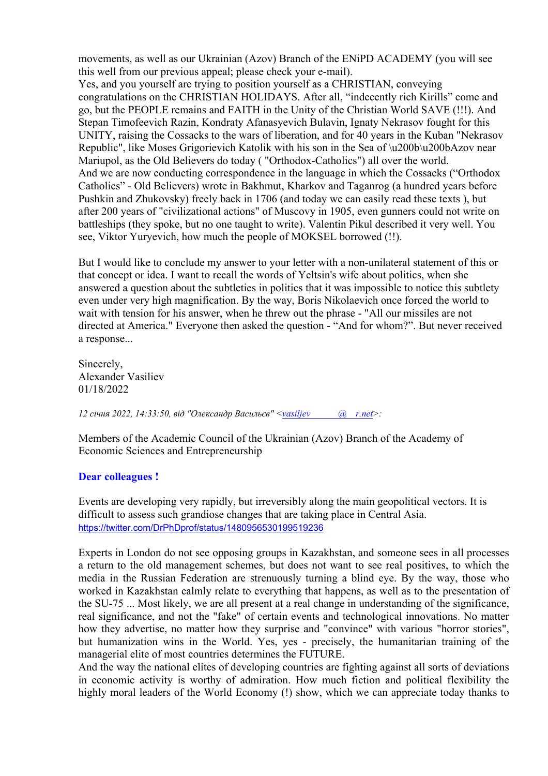movements, as well as our Ukrainian (Azov) Branch of the ENiPD ACADEMY (you will see this well from our previous appeal; please check your e-mail).

Yes, and you yourself are trying to position yourself as a CHRISTIAN, conveying congratulations on the CHRISTIAN HOLIDAYS. After all, "indecently rich Kirills" come and go, but the PEOPLE remains and FAITH in the Unity of the Christian World SAVE (!!!). And Stepan Timofeevich Razin, Kondraty Afanasyevich Bulavin, Ignaty Nekrasov fought for this UNITY, raising the Cossacks to the wars of liberation, and for 40 years in the Kuban "Nekrasov Republic", like Moses Grigorievich Katolik with his son in the Sea of \u200b\u200bAzov near Mariupol, as the Old Believers do today ( "Orthodox-Catholics") all over the world. And we are now conducting correspondence in the language in which the Cossacks ("Orthodox Catholics" - Old Believers) wrote in Bakhmut, Kharkov and Taganrog (a hundred years before Pushkin and Zhukovsky) freely back in 1706 (and today we can easily read these texts ), but after 200 years of "civilizational actions" of Muscovy in 1905, even gunners could not write on battleships (they spoke, but no one taught to write). Valentin Pikul described it very well. You see, Viktor Yuryevich, how much the people of MOKSEL borrowed (!!).

But I would like to conclude my answer to your letter with a non-unilateral statement of this or that concept or idea. I want to recall the words of Yeltsin's wife about politics, when she answered a question about the subtleties in politics that it was impossible to notice this subtlety even under very high magnification. By the way, Boris Nikolaevich once forced the world to wait with tension for his answer, when he threw out the phrase - "All our missiles are not directed at America." Everyone then asked the question - "And for whom?". But never received a response...

Sincerely, Alexander Vasiliev 01/18/2022

*12 січня 2022, 14:33:50, від "Олександр Васильєв" [<vasiljev @ r.net>](mailto:vasiljevmuller@ukr.net):* 

Members of the Academic Council of the Ukrainian (Azov) Branch of the Academy of Economic Sciences and Entrepreneurship

## **Dear colleagues !**

Events are developing very rapidly, but irreversibly along the main geopolitical vectors. It is difficult to assess such grandiose changes that are taking place in Central Asia. <https://twitter.com/DrPhDprof/status/1480956530199519236>

Experts in London do not see opposing groups in Kazakhstan, and someone sees in all processes a return to the old management schemes, but does not want to see real positives, to which the media in the Russian Federation are strenuously turning a blind eye. By the way, those who worked in Kazakhstan calmly relate to everything that happens, as well as to the presentation of the SU-75 ... Most likely, we are all present at a real change in understanding of the significance, real significance, and not the "fake" of certain events and technological innovations. No matter how they advertise, no matter how they surprise and "convince" with various "horror stories", but humanization wins in the World. Yes, yes - precisely, the humanitarian training of the managerial elite of most countries determines the FUTURE.

And the way the national elites of developing countries are fighting against all sorts of deviations in economic activity is worthy of admiration. How much fiction and political flexibility the highly moral leaders of the World Economy (!) show, which we can appreciate today thanks to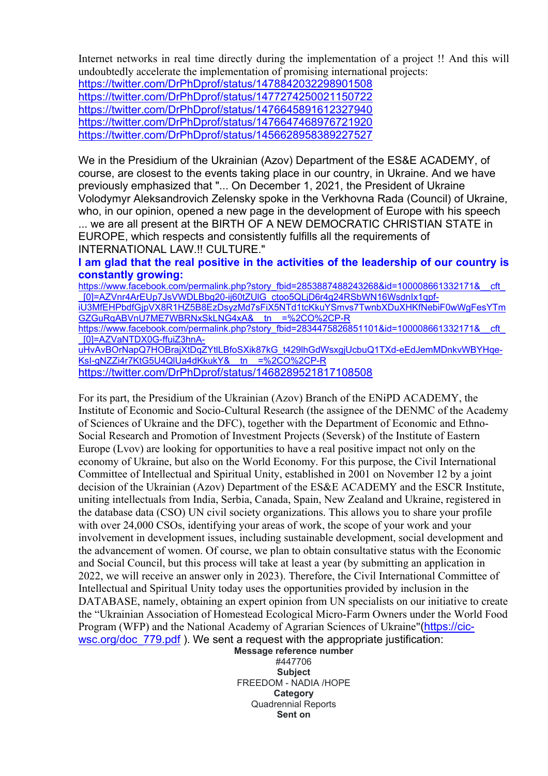Internet networks in real time directly during the implementation of a project !! And this will undoubtedly accelerate the implementation of promising international projects:

<https://twitter.com/DrPhDprof/status/1478842032298901508> <https://twitter.com/DrPhDprof/status/1477274250021150722> <https://twitter.com/DrPhDprof/status/1476645891612327940> <https://twitter.com/DrPhDprof/status/1476647468976721920> <https://twitter.com/DrPhDprof/status/1456628958389227527>

We in the Presidium of the Ukrainian (Azov) Department of the ES&E ACADEMY, of course, are closest to the events taking place in our country, in Ukraine. And we have previously emphasized that "... On December 1, 2021, the President of Ukraine Volodymyr Aleksandrovich Zelensky spoke in the Verkhovna Rada (Council) of Ukraine, who, in our opinion, opened a new page in the development of Europe with his speech

... we are all present at the BIRTH OF A NEW DEMOCRATIC CHRISTIAN STATE in EUROPE, which respects and consistently fulfills all the requirements of INTERNATIONAL LAW.!! CULTURE."

## **I am glad that the real positive in the activities of the leadership of our country is constantly growing:**

https://www.facebook.com/permalink.php?story\_fbid=2853887488243268&id=100008661332171&\_\_cft [\\_\[0\]=AZVnr4ArEUp7JsVWDLBbg20-ij60tZUlG\\_ctoo5QLjD6r4g24RSbWN16WsdnIx1qpf](https://www.facebook.com/permalink.php?story_fbid=2853887488243268&id=100008661332171&__cft__%5b0%5d=AZVnr4ArEUp7JsVWDLBbg20-ij60tZUlG_ctoo5QLjD6r4g24RSbWN16WsdnIx1qpf-iU3MfEHPbdfGjpVX8R1HZ5B8EzDsyzMd7sFiX5NTd1tcKkuYSmvs7TwnbXDuXHKfNebiF0wWgFesYTmGZGuRqABVnU7ME7WBRNxSkLNG4xA&__tn__=%2CO%2CP-R)[iU3MfEHPbdfGjpVX8R1HZ5B8EzDsyzMd7sFiX5NTd1tcKkuYSmvs7TwnbXDuXHKfNebiF0wWgFesYTm](https://www.facebook.com/permalink.php?story_fbid=2853887488243268&id=100008661332171&__cft__%5b0%5d=AZVnr4ArEUp7JsVWDLBbg20-ij60tZUlG_ctoo5QLjD6r4g24RSbWN16WsdnIx1qpf-iU3MfEHPbdfGjpVX8R1HZ5B8EzDsyzMd7sFiX5NTd1tcKkuYSmvs7TwnbXDuXHKfNebiF0wWgFesYTmGZGuRqABVnU7ME7WBRNxSkLNG4xA&__tn__=%2CO%2CP-R) [GZGuRqABVnU7ME7WBRNxSkLNG4xA&\\_\\_tn\\_\\_=%2CO%2CP-R](https://www.facebook.com/permalink.php?story_fbid=2853887488243268&id=100008661332171&__cft__%5b0%5d=AZVnr4ArEUp7JsVWDLBbg20-ij60tZUlG_ctoo5QLjD6r4g24RSbWN16WsdnIx1qpf-iU3MfEHPbdfGjpVX8R1HZ5B8EzDsyzMd7sFiX5NTd1tcKkuYSmvs7TwnbXDuXHKfNebiF0wWgFesYTmGZGuRqABVnU7ME7WBRNxSkLNG4xA&__tn__=%2CO%2CP-R) https://www.facebook.com/permalink.php?story\_fbid=2834475826851101&id=100008661332171&\_\_cft [\\_\[0\]=AZVaNTDX0G-ffuiZ3hnA](https://www.facebook.com/permalink.php?story_fbid=2834475826851101&id=100008661332171&__cft__%5b0%5d=AZVaNTDX0G-ffuiZ3hnA-uHvAvBOrNapQ7HOBrajXtDqZYtlLBfoSXik87kG_t429lhGdWsxgjUcbuQ1TXd-eEdJemMDnkvWBYHqe-KsI-gNZZi4r7KtG5U4QlUa4dKkukY&__tn__=%2CO%2CP-R)[uHvAvBOrNapQ7HOBrajXtDqZYtlLBfoSXik87kG\\_t429lhGdWsxgjUcbuQ1TXd-eEdJemMDnkvWBYHqe-](https://www.facebook.com/permalink.php?story_fbid=2834475826851101&id=100008661332171&__cft__%5b0%5d=AZVaNTDX0G-ffuiZ3hnA-uHvAvBOrNapQ7HOBrajXtDqZYtlLBfoSXik87kG_t429lhGdWsxgjUcbuQ1TXd-eEdJemMDnkvWBYHqe-KsI-gNZZi4r7KtG5U4QlUa4dKkukY&__tn__=%2CO%2CP-R)KsI-gNZZi4r7KtG5U4QIUa4dKkukY&\_tn\_=%2CO%2CP-R <https://twitter.com/DrPhDprof/status/1468289521817108508>

For its part, the Presidium of the Ukrainian (Azov) Branch of the ENiPD ACADEMY, the Institute of Economic and Socio-Cultural Research (the assignee of the DENMC of the Academy of Sciences of Ukraine and the DFC), together with the Department of Economic and Ethno-Social Research and Promotion of Investment Projects (Seversk) of the Institute of Eastern Europe (Lvov) are looking for opportunities to have a real positive impact not only on the economy of Ukraine, but also on the World Economy. For this purpose, the Civil International Committee of Intellectual and Spiritual Unity, established in 2001 on November 12 by a joint decision of the Ukrainian (Azov) Department of the ES&E ACADEMY and the ESCR Institute, uniting intellectuals from India, Serbia, Canada, Spain, New Zealand and Ukraine, registered in the database data (CSO) UN civil society organizations. This allows you to share your profile with over 24,000 CSOs, identifying your areas of work, the scope of your work and your involvement in development issues, including sustainable development, social development and the advancement of women. Of course, we plan to obtain consultative status with the Economic and Social Council, but this process will take at least a year (by submitting an application in 2022, we will receive an answer only in 2023). Therefore, the Civil International Committee of Intellectual and Spiritual Unity today uses the opportunities provided by inclusion in the DATABASE, namely, obtaining an expert opinion from UN specialists on our initiative to create the "Ukrainian Association of Homestead Ecological Micro-Farm Owners under the World Food Program (WFP) and the National Academy of Agrarian Sciences of Ukraine"([https://cic](https://cic-wsc.org/doc_779.pdf)[wsc.org/doc\\_779.pdf](https://cic-wsc.org/doc_779.pdf) ). We sent a request with the appropriate justification:

**Message reference number** #447706 **Subject** FREEDOM - NADIA /HOPE **Category** Quadrennial Reports **Sent on**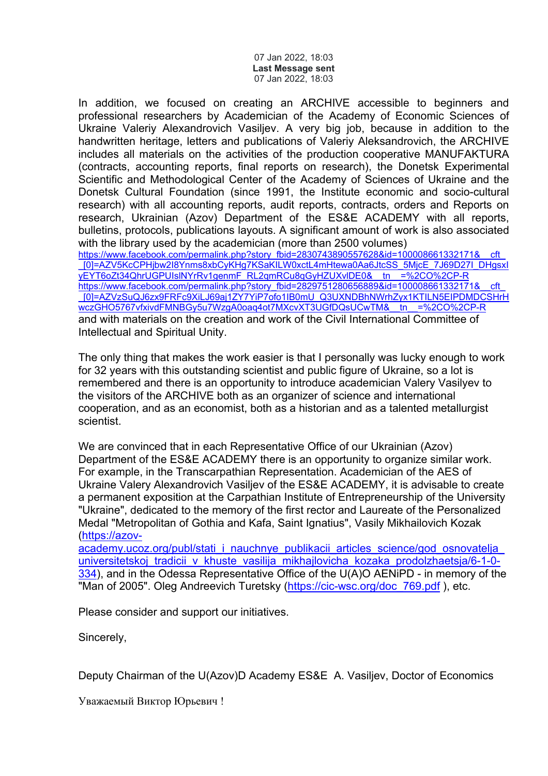07 Jan 2022, 18:03 **Last Message sent** 07 Jan 2022, 18:03

In addition, we focused on creating an ARCHIVE accessible to beginners and professional researchers by Academician of the Academy of Economic Sciences of Ukraine Valeriy Alexandrovich Vasiljev. A very big job, because in addition to the handwritten heritage, letters and publications of Valeriy Aleksandrovich, the ARCHIVE includes all materials on the activities of the production cooperative MANUFAKTURA (contracts, accounting reports, final reports on research), the Donetsk Experimental Scientific and Methodological Center of the Academy of Sciences of Ukraine and the Donetsk Cultural Foundation (since 1991, the Institute economic and socio-cultural research) with all accounting reports, audit reports, contracts, orders and Reports on research, Ukrainian (Azov) Department of the ES&E ACADEMY with all reports, bulletins, protocols, publications layouts. A significant amount of work is also associated with the library used by the academician (more than 2500 volumes)

https://www.facebook.com/permalink.php?story\_fbid=2830743890557628&id=100008661332171&\_cft [\\_\[0\]=AZV5KcCPHjbw2I8Ynms8xbCyKHg7KSaKILW0xctL4mHtewa0Aa6JtcSS\\_5MjcE\\_7J69D27I\\_DHgsxI](https://www.facebook.com/permalink.php?story_fbid=2830743890557628&id=100008661332171&__cft__%5b0%5d=AZV5KcCPHjbw2I8Ynms8xbCyKHg7KSaKILW0xctL4mHtewa0Aa6JtcSS_5MjcE_7J69D27I_DHgsxIyEYT6oZt34QhrUGPUIslNYrRv1genmF_RL2qmRCu8qGyHZUXvlDE0&__tn__=%2CO%2CP-R) [yEYT6oZt34QhrUGPUIslNYrRv1genmF\\_RL2qmRCu8qGyHZUXvlDE0&\\_\\_tn\\_\\_=%2CO%2CP-R](https://www.facebook.com/permalink.php?story_fbid=2830743890557628&id=100008661332171&__cft__%5b0%5d=AZV5KcCPHjbw2I8Ynms8xbCyKHg7KSaKILW0xctL4mHtewa0Aa6JtcSS_5MjcE_7J69D27I_DHgsxIyEYT6oZt34QhrUGPUIslNYrRv1genmF_RL2qmRCu8qGyHZUXvlDE0&__tn__=%2CO%2CP-R) https://www.facebook.com/permalink.php?story\_fbid=2829751280656889&id=100008661332171& [\\_\[0\]=AZVzSuQJ6zx9FRFc9XiLJ69aj1ZY7YiP7ofo1IB0mU\\_Q3UXNDBhNWrhZyx1KTILN5EIPDMDCSHrH](https://www.facebook.com/permalink.php?story_fbid=2829751280656889&id=100008661332171&__cft__%5b0%5d=AZVzSuQJ6zx9FRFc9XiLJ69aj1ZY7YiP7ofo1IB0mU_Q3UXNDBhNWrhZyx1KTILN5EIPDMDCSHrHwczGHO5767vfxivdFMNBGy5u7WzgA0oaq4ot7MXcvXT3UGfDQsUCwTM&__tn__=%2CO%2CP-R) wczGHO5767vfxivdFMNBGy5u7WzgA0oaq4ot7MXcvXT3UGfDQsUCwTM&\_tn\_=%2CO%2CP-R and with materials on the creation and work of the Civil International Committee of Intellectual and Spiritual Unity.

The only thing that makes the work easier is that I personally was lucky enough to work for 32 years with this outstanding scientist and public figure of Ukraine, so a lot is remembered and there is an opportunity to introduce academician Valery Vasilyev to the visitors of the ARCHIVE both as an organizer of science and international cooperation, and as an economist, both as a historian and as a talented metallurgist scientist.

We are convinced that in each Representative Office of our Ukrainian (Azov) Department of the ES&E ACADEMY there is an opportunity to organize similar work. For example, in the Transcarpathian Representation. Academician of the AES of Ukraine Valery Alexandrovich Vasiljev of the ES&E ACADEMY, it is advisable to create a permanent exposition at the Carpathian Institute of Entrepreneurship of the University "Ukraine", dedicated to the memory of the first rector and Laureate of the Personalized Medal "Metropolitan of Gothia and Kafa, Saint Ignatius", Vasily Mikhailovich Kozak [\(https://azov-](https://azov-academy.ucoz.org/publ/stati_i_nauchnye_publikacii_articles_science/god_osnovatelja_universitetskoj_tradicii_v_khuste_vasilija_mikhajlovicha_kozaka_prodolzhaetsja/6-1-0-334)

academy.ucoz.org/publ/stati\_i\_nauchnye\_publikacii\_articles\_science/god\_osnovatelja universitetskoj tradicii v khuste vasilija mikhajlovicha kozaka prodolzhaetsia/6-1-0-[334](https://azov-academy.ucoz.org/publ/stati_i_nauchnye_publikacii_articles_science/god_osnovatelja_universitetskoj_tradicii_v_khuste_vasilija_mikhajlovicha_kozaka_prodolzhaetsja/6-1-0-334)), and in the Odessa Representative Office of the U(A)O AENiPD - in memory of the "Man of 2005". Oleg Andreevich Turetsky (https://cic-wsc.org/doc\_769.pdf), etc.

Please consider and support our initiatives.

Sincerely,

Deputy Chairman of the U(Azov)D Academy ES&E A. Vasiljev, Doctor of Economics

Уважаемый Виктор Юрьевич !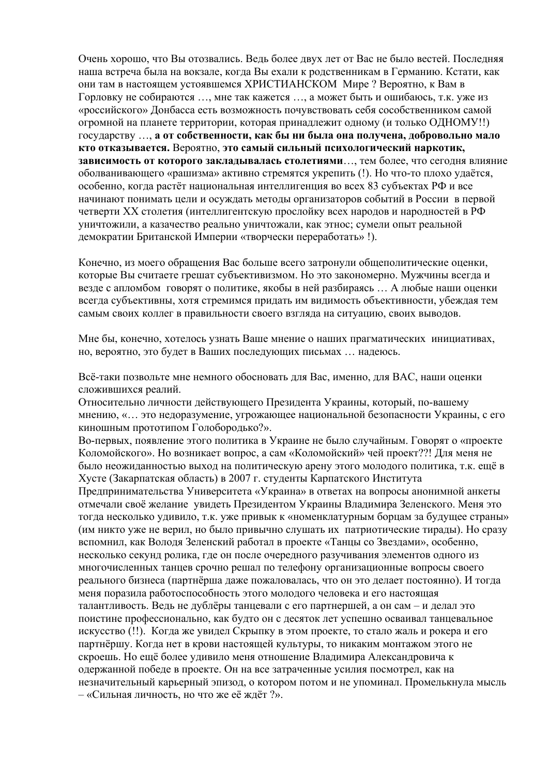Очень хорошо, что Вы отозвались. Ведь более двух лет от Вас не было вестей. Последняя наша встреча была на вокзале, когда Вы ехали к родственникам в Германию. Кстати, как они там в настоящем устоявшемся ХРИСТИАНСКОМ Мире ? Вероятно, к Вам в Горловку не собираются …, мне так кажется …, а может быть и ошибаюсь, т.к. уже из «российского» Донбасса есть возможность почувствовать себя сособственником самой огромной на планете территории, которая принадлежит одному (и только ОДНОМУ!!) государству …, **а от собственности, как бы ни была она получена, добровольно мало кто отказывается.** Вероятно, **это самый сильный психологический наркотик, зависимость от которого закладывалась столетиями**…, тем более, что сегодня влияние оболванивающего «рашизма» активно стремятся укрепить (!). Но что-то плохо удаётся, особенно, когда растёт национальная интеллигенция во всех 83 субъектах РФ и все начинают понимать цели и осуждать методы организаторов событий в России в первой четверти ХХ столетия (интеллигентскую прослойку всех народов и народностей в РФ уничтожили, а казачество реально уничтожали, как этнос; сумели опыт реальной демократии Британской Империи «творчески переработать» !).

Конечно, из моего обращения Вас больше всего затронули общеполитические оценки, которые Вы считаете грешат субъективизмом. Но это закономерно. Мужчины всегда и везде с апломбом говорят о политике, якобы в ней разбираясь … А любые наши оценки всегда субъективны, хотя стремимся придать им видимость объективности, убеждая тем самым своих коллег в правильности своего взгляда на ситуацию, своих выводов.

Мне бы, конечно, хотелось узнать Ваше мнение о наших прагматических инициативах, но, вероятно, это будет в Ваших последующих письмах … надеюсь.

Всё-таки позвольте мне немного обосновать для Вас, именно, для ВАС, наши оценки сложившихся реалий.

Относительно личности действующего Президента Украины, который, по-вашему мнению, «… это недоразумение, угрожающее национальной безопасности Украины, с его киношным прототипом Голобородько?».

Во-первых, появление этого политика в Украине не было случайным. Говорят о «проекте Коломойского». Но возникает вопрос, а сам «Коломойский» чей проект??! Для меня не было неожиданностью выход на политическую арену этого молодого политика, т.к. ещё в Хусте (Закарпатская область) в 2007 г. студенты Карпатского Института

Предпринимательства Университета «Украина» в ответах на вопросы анонимной анкеты отмечали своё желание увидеть Президентом Украины Владимира Зеленского. Меня это тогда несколько удивило, т.к. уже привык к «номенклатурным борцам за будущее страны» (им никто уже не верил, но было привычно слушать их патриотические тирады). Но сразу вспомнил, как Володя Зеленский работал в проекте «Танцы со Звездами», особенно, несколько секунд ролика, где он после очередного разучивания элементов одного из многочисленных танцев срочно решал по телефону организационные вопросы своего реального бизнеса (партнёрша даже пожаловалась, что он это делает постоянно). И тогда меня поразила работоспособность этого молодого человека и его настоящая талантливость. Ведь не дублёры танцевали с его партнершей, а он сам – и делал это поистине профессионально, как будто он с десяток лет успешно осваивал танцевальное искусство (!!). Когда же увидел Скрыпку в этом проекте, то стало жаль и рокера и его партнёршу. Когда нет в крови настоящей культуры, то никаким монтажом этого не скроешь. Но ещё более удивило меня отношение Владимира Александровича к одержанной победе в проекте. Он на все затраченные усилия посмотрел, как на незначительный карьерный эпизод, о котором потом и не упоминал. Промелькнула мысль – «Сильная личность, но что же её ждёт ?».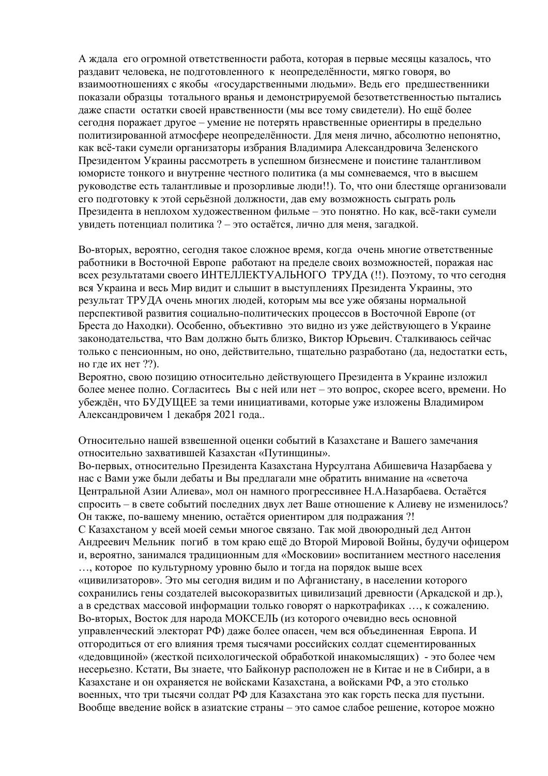А ждала его огромной ответственности работа, которая в первые месяцы казалось, что раздавит человека, не подготовленного к неопределённости, мягко говоря, во взаимоотношениях с якобы «государственными людьми». Ведь его предшественники показали образцы тотального вранья и демонстрируемой безответственностью пытались даже спасти остатки своей нравственности (мы все тому свидетели). Но ещё более сегодня поражает другое – умение не потерять нравственные ориентиры в предельно политизированной атмосфере неопределённости. Для меня лично, абсолютно непонятно, как всё-таки сумели организаторы избрания Владимира Александровича Зеленского Президентом Украины рассмотреть в успешном бизнесмене и поистине талантливом юмористе тонкого и внутренне честного политика (а мы сомневаемся, что в высшем руководстве есть талантливые и прозорливые люди!!). То, что они блестяще организовали его подготовку к этой серьёзной должности, дав ему возможность сыграть роль Президента в неплохом художественном фильме – это понятно. Но как, всё-таки сумели увидеть потенциал политика ? – это остаётся, лично для меня, загадкой.

Во-вторых, вероятно, сегодня такое сложное время, когда очень многие ответственные работники в Восточной Европе работают на пределе своих возможностей, поражая нас всех результатами своего ИНТЕЛЛЕКТУАЛЬНОГО ТРУДА (!!). Поэтому, то что сегодня вся Украина и весь Мир видит и слышит в выступлениях Президента Украины, это результат ТРУДА очень многих людей, которым мы все уже обязаны нормальной перспективой развития социально-политических процессов в Восточной Европе (от Бреста до Находки). Особенно, объективно это видно из уже действующего в Украине законодательства, что Вам должно быть близко, Виктор Юрьевич. Сталкиваюсь сейчас только с пенсионным, но оно, действительно, тщательно разработано (да, недостатки есть, но где их нет ??).

Вероятно, свою позицию относительно действующего Президента в Украине изложил более менее полно. Согласитесь Вы с ней или нет – это вопрос, скорее всего, времени. Но убеждён, что БУДУЩЕЕ за теми инициативами, которые уже изложены Владимиром Александровичем 1 декабря 2021 года..

Относительно нашей взвешенной оценки событий в Казахстане и Вашего замечания относительно захватившей Казахстан «Путинщины».

Во-первых, относительно Президента Казахстана Нурсултана Абишевича Назарбаева у нас с Вами уже были дебаты и Вы предлагали мне обратить внимание на «светоча Центральной Азии Алиева», мол он намного прогрессивнее Н.А.Назарбаева. Остаётся спросить – в свете событий последних двух лет Ваше отношение к Алиеву не изменилось? Он также, по-вашему мнению, остаётся ориентиром для подражания ?! С Казахстаном у всей моей семьи многое связано. Так мой двоюродный дед Антон Андреевич Мельник погиб в том краю ещё до Второй Мировой Войны, будучи офицером и, вероятно, занимался традиционным для «Московии» воспитанием местного населения …, которое по культурному уровню было и тогда на порядок выше всех «цивилизаторов». Это мы сегодня видим и по Афганистану, в населении которого сохранились гены создателей высокоразвитых цивилизаций древности (Аркадской и др.), а в средствах массовой информации только говорят о наркотрафиках …, к сожалению. Во-вторых, Восток для народа МОКСЕЛЬ (из которого очевидно весь основной управленческий электорат РФ) даже более опасен, чем вся объединенная Европа. И отгородиться от его влияния тремя тысячами российских солдат сцементированных «дедовщиной» (жесткой психологической обработкой инакомыслящих) - это более чем несерьезно. Кстати, Вы знаете, что Байконур расположен не в Китае и не в Сибири, а в Казахстане и он охраняется не войсками Казахстана, а войсками РФ, а это столько военных, что три тысячи солдат РФ для Казахстана это как горсть песка для пустыни. Вообще введение войск в азиатские страны – это самое слабое решение, которое можно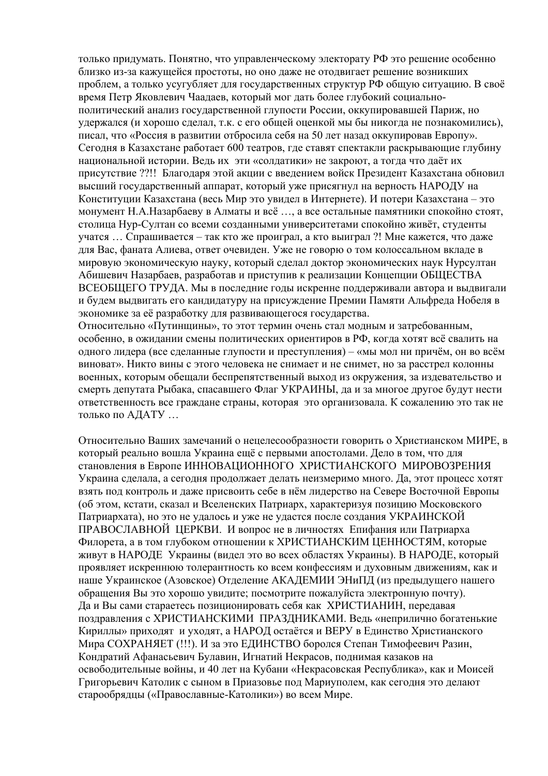только придумать. Понятно, что управленческому электорату РФ это решение особенно близко из-за кажущейся простоты, но оно даже не отодвигает решение возникших проблем, а только усугубляет для государственных структур РФ общую ситуацию. В своё время Петр Яковлевич Чаадаев, который мог дать более глубокий социальнополитический анализ государственной глупости России, оккупировавшей Париж, но удержался (и хорошо сделал, т.к. с его общей оценкой мы бы никогда не познакомились), писал, что «Россия в развитии отбросила себя на 50 лет назад оккупировав Европу». Сегодня в Казахстане работает 600 театров, где ставят спектакли раскрывающие глубину национальной истории. Ведь их эти «солдатики» не закроют, а тогда что даёт их присутствие ??!! Благодаря этой акции с введением войск Президент Казахстана обновил высший государственный аппарат, который уже присягнул на верность НАРОДУ на Конституции Казахстана (весь Мир это увидел в Интернете). И потери Казахстана – это монумент Н.А.Назарбаеву в Алматы и всё …, а все остальные памятники спокойно стоят, столица Нур-Султан со всеми созданными университетами спокойно живёт, студенты учатся … Спрашивается – так кто же проиграл, а кто выиграл ?! Мне кажется, что даже для Вас, фаната Алиева, ответ очевиден. Уже не говорю о том колоссальном вкладе в мировую экономическую науку, который сделал доктор экономических наук Нурсултан Абишевич Назарбаев, разработав и приступив к реализации Концепции ОБЩЕСТВА ВСЕОБЩЕГО ТРУДА. Мы в последние годы искренне поддерживали автора и выдвигали и будем выдвигать его кандидатуру на присуждение Премии Памяти Альфреда Нобеля в экономике за её разработку для развивающегося государства.

Относительно «Путинщины», то этот термин очень стал модным и затребованным, особенно, в ожидании смены политических ориентиров в РФ, когда хотят всё свалить на одного лидера (все сделанные глупости и преступления) – «мы мол ни причём, он во всём виноват». Никто вины с этого человека не снимает и не снимет, но за расстрел колонны военных, которым обещали беспрепятственный выход из окружения, за издевательство и смерть депутата Рыбака, спасавшего Флаг УКРАИНЫ, да и за многое другое будут нести ответственность все граждане страны, которая это организовала. К сожалению это так не только по АДАТУ …

Относительно Ваших замечаний о нецелесообразности говорить о Христианском МИРЕ, в который реально вошла Украина ещё с первыми апостолами. Дело в том, что для становления в Европе ИННОВАЦИОННОГО ХРИСТИАНСКОГО МИРОВОЗРЕНИЯ Украина сделала, а сегодня продолжает делать неизмеримо много. Да, этот процесс хотят взять под контроль и даже присвоить себе в нём лидерство на Севере Восточной Европы (об этом, кстати, сказал и Вселенских Патриарх, характеризуя позицию Московского Патриархата), но это не удалось и уже не удастся после создания УКРАИНСКОЙ ПРАВОСЛАВНОЙ ЦЕРКВИ. И вопрос не в личностях Епифания или Патриарха Филорета, а в том глубоком отношении к ХРИСТИАНСКИМ ЦЕННОСТЯМ, которые живут в НАРОДЕ Украины (видел это во всех областях Украины). В НАРОДЕ, который проявляет искреннюю толерантность ко всем конфессиям и духовным движениям, как и наше Украинское (Азовское) Отделение АКАДЕМИИ ЭНиПД (из предыдущего нашего обращения Вы это хорошо увидите; посмотрите пожалуйста электронную почту). Да и Вы сами стараетесь позиционировать себя как ХРИСТИАНИН, передавая поздравления с ХРИСТИАНСКИМИ ПРАЗДНИКАМИ. Ведь «неприлично богатенькие Кириллы» приходят и уходят, а НАРОД остаётся и ВЕРУ в Единство Христианского Мира СОХРАНЯЕТ (!!!). И за это ЕДИНСТВО боролся Степан Тимофеевич Разин, Кондратий Афанасьевич Булавин, Игнатий Некрасов, поднимая казаков на освободительные войны, и 40 лет на Кубани «Некрасовская Республика», как и Моисей Григорьевич Католик с сыном в Приазовье под Мариуполем, как сегодня это делают старообрядцы («Православные-Католики») во всем Мире.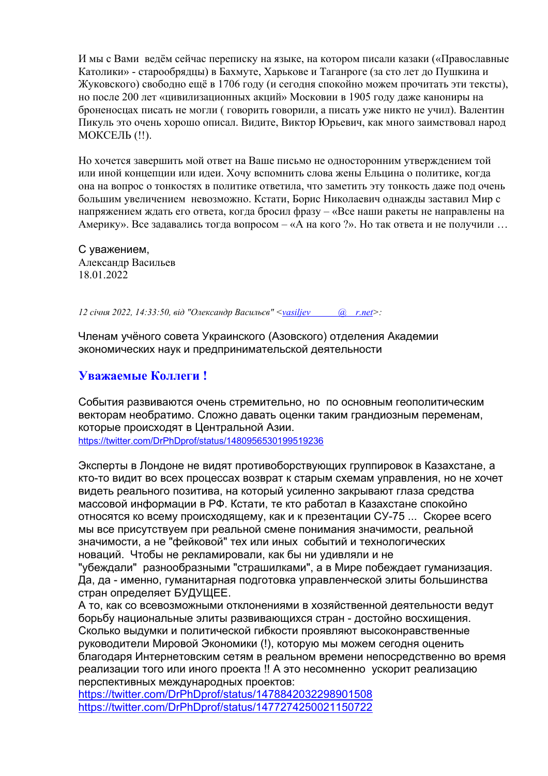И мы с Вами ведём сейчас переписку на языке, на котором писали казаки («Православные Католики» - старообрядцы) в Бахмуте, Харькове и Таганроге (за сто лет до Пушкина и Жуковского) свободно ещё в 1706 году (и сегодня спокойно можем прочитать эти тексты), но после 200 лет «цивилизационных акций» Московии в 1905 году даже канониры на броненосцах писать не могли ( говорить говорили, а писать уже никто не учил). Валентин Пикуль это очень хорошо описал. Видите, Виктор Юрьевич, как много заимствовал народ МОКСЕЛЬ (!!).

Но хочется завершить мой ответ на Ваше письмо не односторонним утверждением той или иной концепции или идеи. Хочу вспомнить слова жены Ельцина о политике, когда она на вопрос о тонкостях в политике ответила, что заметить эту тонкость даже под очень большим увеличением невозможно. Кстати, Борис Николаевич однажды заставил Мир с напряжением ждать его ответа, когда бросил фразу – «Все наши ракеты не направлены на Америку». Все задавались тогда вопросом – «А на кого ?». Но так ответа и не получили …

С уважением, Александр Васильев 18.01.2022

*12 січня 2022, 14:33:50, від "Олександр Васильєв" [<vasiljev @ r.net>](mailto:vasiljevmuller@ukr.net):* 

Членам учёного совета Украинского (Азовского) отделения Академии экономических наук и предпринимательской деятельности

## **Уважаемые Коллеги !**

События развиваются очень стремительно, но по основным геополитическим векторам необратимо. Сложно давать оценки таким грандиозным переменам, которые происходят в Центральной Азии. <https://twitter.com/DrPhDprof/status/1480956530199519236>

Эксперты в Лондоне не видят противоборствующих группировок в Казахстане, а кто-то видит во всех процессах возврат к старым схемам управления, но не хочет видеть реального позитива, на который усиленно закрывают глаза средства массовой информации в РФ. Кстати, те кто работал в Казахстане спокойно относятся ко всему происходящему, как и к презентации СУ-75 ... Скорее всего мы все присутствуем при реальной смене понимания значимости, реальной значимости, а не "фейковой" тех или иных событий и технологических новаций. Чтобы не рекламировали, как бы ни удивляли и не

"убеждали" разнообразными "страшилками", а в Мире побеждает гуманизация. Да, да - именно, гуманитарная подготовка управленческой элиты большинства стран определяет БУДУЩЕЕ.

А то, как со всевозможными отклонениями в хозяйственной деятельности ведут борьбу национальные элиты развивающихся стран - достойно восхищения. Сколько выдумки и политической гибкости проявляют высоконравственные руководители Мировой Экономики (!), которую мы можем сегодня оценить благодаря Интернетовским сетям в реальном времени непосредственно во время реализации того или иного проекта !! А это несомненно ускорит реализацию перспективных международных проектов:

<https://twitter.com/DrPhDprof/status/1478842032298901508> <https://twitter.com/DrPhDprof/status/1477274250021150722>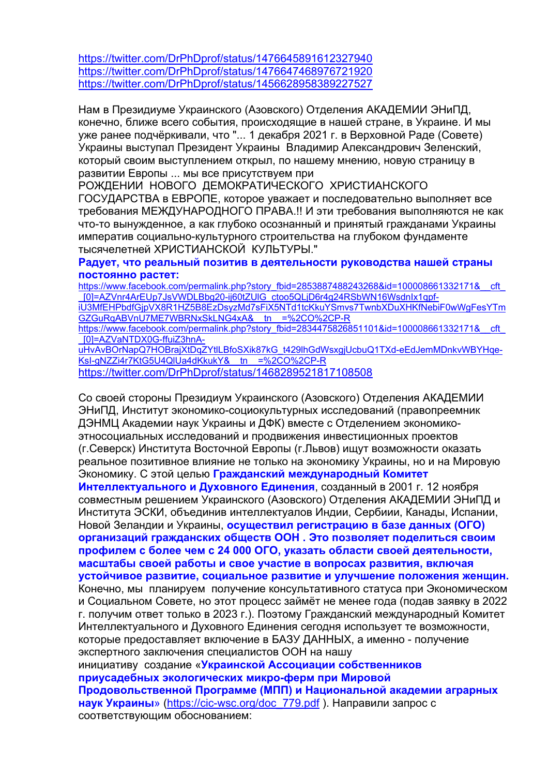<https://twitter.com/DrPhDprof/status/1476645891612327940> <https://twitter.com/DrPhDprof/status/1476647468976721920> <https://twitter.com/DrPhDprof/status/1456628958389227527>

Нам в Президиуме Украинского (Азовского) Отделения АКАДЕМИИ ЭНиПД, конечно, ближе всего события, происходящие в нашей стране, в Украине. И мы уже ранее подчёркивали, что "... 1 декабря 2021 г. в Верховной Раде (Совете) Украины выступал Президент Украины Владимир Александрович Зеленский, который своим выступлением открыл, по нашему мнению, новую страницу в развитии Европы ... мы все присутствуем при

РОЖДЕНИИ НОВОГО ДЕМОКРАТИЧЕСКОГО ХРИСТИАНСКОГО ГОСУДАРСТВА в ЕВРОПЕ, которое уважает и последовательно выполняет все требования МЕЖДУНАРОДНОГО ПРАВА.!! И эти требования выполняются не как что-то вынужденное, а как глубоко осознанный и принятый гражданами Украины императив социально-культурного строительства на глубоком фундаменте тысячелетней ХРИСТИАНСКОЙ КУЛЬТУРЫ."

## **Радует, что реальный позитив в деятельности руководства нашей страны постоянно растет:**

https://www.facebook.com/permalink.php?story\_fbid=2853887488243268&id=100008661332171&\_\_cft [\\_\[0\]=AZVnr4ArEUp7JsVWDLBbg20-ij60tZUlG\\_ctoo5QLjD6r4g24RSbWN16WsdnIx1qpf](https://www.facebook.com/permalink.php?story_fbid=2853887488243268&id=100008661332171&__cft__%5b0%5d=AZVnr4ArEUp7JsVWDLBbg20-ij60tZUlG_ctoo5QLjD6r4g24RSbWN16WsdnIx1qpf-iU3MfEHPbdfGjpVX8R1HZ5B8EzDsyzMd7sFiX5NTd1tcKkuYSmvs7TwnbXDuXHKfNebiF0wWgFesYTmGZGuRqABVnU7ME7WBRNxSkLNG4xA&__tn__=%2CO%2CP-R)[iU3MfEHPbdfGjpVX8R1HZ5B8EzDsyzMd7sFiX5NTd1tcKkuYSmvs7TwnbXDuXHKfNebiF0wWgFesYTm](https://www.facebook.com/permalink.php?story_fbid=2853887488243268&id=100008661332171&__cft__%5b0%5d=AZVnr4ArEUp7JsVWDLBbg20-ij60tZUlG_ctoo5QLjD6r4g24RSbWN16WsdnIx1qpf-iU3MfEHPbdfGjpVX8R1HZ5B8EzDsyzMd7sFiX5NTd1tcKkuYSmvs7TwnbXDuXHKfNebiF0wWgFesYTmGZGuRqABVnU7ME7WBRNxSkLNG4xA&__tn__=%2CO%2CP-R) [GZGuRqABVnU7ME7WBRNxSkLNG4xA&\\_\\_tn\\_\\_=%2CO%2CP-R](https://www.facebook.com/permalink.php?story_fbid=2853887488243268&id=100008661332171&__cft__%5b0%5d=AZVnr4ArEUp7JsVWDLBbg20-ij60tZUlG_ctoo5QLjD6r4g24RSbWN16WsdnIx1qpf-iU3MfEHPbdfGjpVX8R1HZ5B8EzDsyzMd7sFiX5NTd1tcKkuYSmvs7TwnbXDuXHKfNebiF0wWgFesYTmGZGuRqABVnU7ME7WBRNxSkLNG4xA&__tn__=%2CO%2CP-R) https://www.facebook.com/permalink.php?story\_fbid=2834475826851101&id=100008661332171&\_\_cft [\\_\[0\]=AZVaNTDX0G-ffuiZ3hnA](https://www.facebook.com/permalink.php?story_fbid=2834475826851101&id=100008661332171&__cft__%5b0%5d=AZVaNTDX0G-ffuiZ3hnA-uHvAvBOrNapQ7HOBrajXtDqZYtlLBfoSXik87kG_t429lhGdWsxgjUcbuQ1TXd-eEdJemMDnkvWBYHqe-KsI-gNZZi4r7KtG5U4QlUa4dKkukY&__tn__=%2CO%2CP-R)[uHvAvBOrNapQ7HOBrajXtDqZYtlLBfoSXik87kG\\_t429lhGdWsxgjUcbuQ1TXd-eEdJemMDnkvWBYHqe-](https://www.facebook.com/permalink.php?story_fbid=2834475826851101&id=100008661332171&__cft__%5b0%5d=AZVaNTDX0G-ffuiZ3hnA-uHvAvBOrNapQ7HOBrajXtDqZYtlLBfoSXik87kG_t429lhGdWsxgjUcbuQ1TXd-eEdJemMDnkvWBYHqe-KsI-gNZZi4r7KtG5U4QlUa4dKkukY&__tn__=%2CO%2CP-R)KsI-gNZZi4r7KtG5U4QIUa4dKkukY&\_tn\_=%2CO%2CP-R

<https://twitter.com/DrPhDprof/status/1468289521817108508>

Со своей стороны Президиум Украинского (Азовского) Отделения АКАДЕМИИ ЭНиПД, Институт экономико-социокультурных исследований (правопреемник ДЭНМЦ Академии наук Украины и ДФК) вместе с Отделением экономикоэтносоциальных исследований и продвижения инвестиционных проектов (г.Северск) Института Восточной Европы (г.Львов) ищут возможности оказать реальное позитивное влияние не только на экономику Украины, но и на Мировую Экономику. С этой целью **Гражданский международный Комитет Интеллектуального и Духовного Единения**, созданный в 2001 г. 12 ноября совместным решением Украинского (Азовского) Отделения АКАДЕМИИ ЭНиПД и Института ЭСКИ, объединив интеллектуалов Индии, Сербиии, Канады, Испании, Новой Зеландии и Украины, **осуществил регистрацию в базе данных (ОГО) организаций гражданских обществ ООН . Это позволяет поделиться своим профилем с более чем с 24 000 ОГО, указать области своей деятельности, масштабы своей работы и свое участие в вопросах развития, включая устойчивое развитие, социальное развитие и улучшение положения женщин.** Конечно, мы планируем получение консультативного статуса при Экономическом и Социальном Совете, но этот процесс займёт не менее года (подав заявку в 2022 г. получим ответ только в 2023 г.). Поэтому Гражданский международный Комитет Интеллектуального и Духовного Единения сегодня использует те возможности, которые предоставляет включение в БАЗУ ДАННЫХ, а именно - получение экспертного заключения специалистов ООН на нашу инициативу создание «**Украинской Ассоциации собственников приусадебных экологических микро-ферм при Мировой Продовольственной Программе (МПП) и Национальной академии аграрных наук Украины**» [\(https://cic-wsc.org/doc\\_779.pdf](https://cic-wsc.org/doc_779.pdf) ). Направили запрос с соответствующим обоснованием: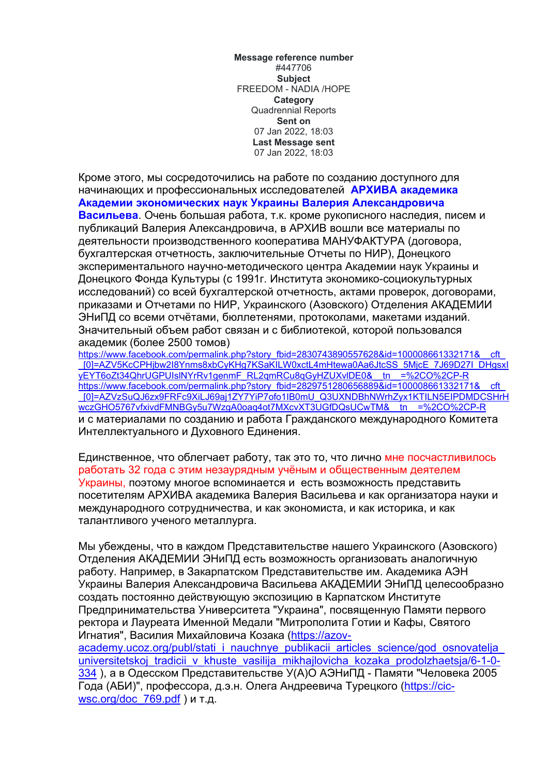**Message reference number** #447706 **Subject** FREEDOM - NADIA /HOPE **Category** Quadrennial Reports **Sent on** 07 Jan 2022, 18:03 **Last Message sent** 07 Jan 2022, 18:03

Кроме этого, мы сосредоточились на работе по созданию доступного для начинающих и профессиональных исследователей **АРХИВА академика Академии экономических наук Украины Валерия Александровича Васильева**. Очень большая работа, т.к. кроме рукописного наследия, писем и публикаций Валерия Александровича, в АРХИВ вошли все материалы по деятельности производственного кооператива МАНУФАКТУРА (договора, бухгалтерская отчетность, заключительные Отчеты по НИР), Донецкого экспериментального научно-методического центра Академии наук Украины и Донецкого Фонда Культуры (с 1991г. Института экономико-социокультурных исследований) со всей бухгалтерской отчетность, актами проверок, договорами, приказами и Отчетами по НИР, Украинского (Азовского) Отделения АКАДЕМИИ ЭНиПД со всеми отчётами, бюллетенями, протоколами, макетами изданий. Значительный объем работ связан и с библиотекой, которой пользовался академик (более 2500 томов)

https://www.facebook.com/permalink.php?story\_fbid=2830743890557628&id=100008661332171&\_\_cft [\\_\[0\]=AZV5KcCPHjbw2I8Ynms8xbCyKHg7KSaKILW0xctL4mHtewa0Aa6JtcSS\\_5MjcE\\_7J69D27I\\_DHgsxI](https://www.facebook.com/permalink.php?story_fbid=2830743890557628&id=100008661332171&__cft__%5b0%5d=AZV5KcCPHjbw2I8Ynms8xbCyKHg7KSaKILW0xctL4mHtewa0Aa6JtcSS_5MjcE_7J69D27I_DHgsxIyEYT6oZt34QhrUGPUIslNYrRv1genmF_RL2qmRCu8qGyHZUXvlDE0&__tn__=%2CO%2CP-R) [yEYT6oZt34QhrUGPUIslNYrRv1genmF\\_RL2qmRCu8qGyHZUXvlDE0&\\_\\_tn\\_\\_=%2CO%2CP-R](https://www.facebook.com/permalink.php?story_fbid=2830743890557628&id=100008661332171&__cft__%5b0%5d=AZV5KcCPHjbw2I8Ynms8xbCyKHg7KSaKILW0xctL4mHtewa0Aa6JtcSS_5MjcE_7J69D27I_DHgsxIyEYT6oZt34QhrUGPUIslNYrRv1genmF_RL2qmRCu8qGyHZUXvlDE0&__tn__=%2CO%2CP-R) https://www.facebook.com/permalink.php?story\_fbid=2829751280656889&id=100008661332171&\_cft [\\_\[0\]=AZVzSuQJ6zx9FRFc9XiLJ69aj1ZY7YiP7ofo1IB0mU\\_Q3UXNDBhNWrhZyx1KTILN5EIPDMDCSHrH](https://www.facebook.com/permalink.php?story_fbid=2829751280656889&id=100008661332171&__cft__%5b0%5d=AZVzSuQJ6zx9FRFc9XiLJ69aj1ZY7YiP7ofo1IB0mU_Q3UXNDBhNWrhZyx1KTILN5EIPDMDCSHrHwczGHO5767vfxivdFMNBGy5u7WzgA0oaq4ot7MXcvXT3UGfDQsUCwTM&__tn__=%2CO%2CP-R) wczGHO5767vfxivdFMNBGy5u7WzgA0oaq4ot7MXcvXT3UGfDQsUCwTM&\_tn\_=%2CO%2CP-R и с материалами по созданию и работа Гражданского международного Комитета Интеллектуального и Духовного Единения.

Единственное, что облегчает работу, так это то, что лично мне посчастливилось работать 32 года с этим незаурядным учёным и общественным деятелем Украины, поэтому многое вспоминается и есть возможность представить посетителям АРХИВА академика Валерия Васильева и как организатора науки и международного сотрудничества, и как экономиста, и как историка, и как талантливого ученого металлурга.

Мы убеждены, что в каждом Представительстве нашего Украинского (Азовского) Отделения АКАДЕМИИ ЭНиПД есть возможность организовать аналогичную работу. Например, в Закарпатском Представительстве им. Академика АЭН Украины Валерия Александровича Васильева АКАДЕМИИ ЭНиПД целесообразно создать постоянно действующую экспозицию в Карпатском Институте Предпринимательства Университета "Украина", посвященную Памяти первого ректора и Лауреата Именной Медали "Митрополита Готии и Кафы, Святого Игнатия", Василия Михайловича Козака [\(https://azov](https://azov-academy.ucoz.org/publ/stati_i_nauchnye_publikacii_articles_science/god_osnovatelja_universitetskoj_tradicii_v_khuste_vasilija_mikhajlovicha_kozaka_prodolzhaetsja/6-1-0-334)academy.ucoz.org/publ/stati\_i\_nauchnye\_publikacii\_articles\_science/god\_osnovatelja universitetskoj tradicii v khuste vasilija mikhajlovicha kozaka prodolzhaetsia/6-1-0-

[334](https://azov-academy.ucoz.org/publ/stati_i_nauchnye_publikacii_articles_science/god_osnovatelja_universitetskoj_tradicii_v_khuste_vasilija_mikhajlovicha_kozaka_prodolzhaetsja/6-1-0-334) ), а в Одесском Представительстве У(А)О АЭНиПД - Памяти "Человека 2005 Года (АБИ)", профессора, д.э.н. Олега Андреевича Турецкого [\(https://cic](https://cic-wsc.org/doc_769.pdf)wsc.org/doc 769.pdf) и т.д.